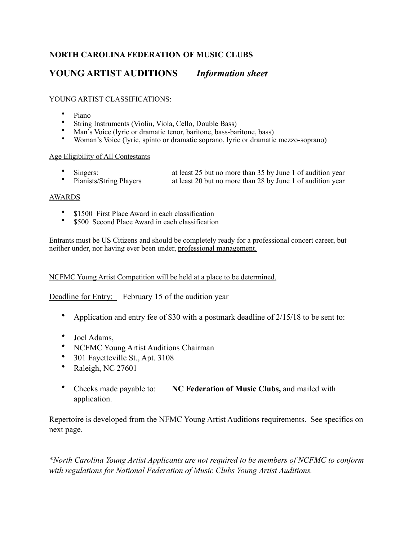## **NORTH CAROLINA FEDERATION OF MUSIC CLUBS**

# **YOUNG ARTIST AUDITIONS** *Information sheet*

### YOUNG ARTIST CLASSIFICATIONS:

- Piano
- String Instruments (Violin, Viola, Cello, Double Bass)
- Man's Voice (lyric or dramatic tenor, baritone, bass-baritone, bass)
- Woman's Voice (lyric, spinto or dramatic soprano, lyric or dramatic mezzo-soprano)

#### Age Eligibility of All Contestants

- - Singers: at least 25 but no more than 35 by June 1 of audition year<br>Pianists/String Players at least 20 but no more than 28 by June 1 of audition year at least 20 but no more than 28 by June 1 of audition year
- 

#### AWARDS

- \$1500 First Place Award in each classification
- \$500 Second Place Award in each classification

Entrants must be US Citizens and should be completely ready for a professional concert career, but neither under, nor having ever been under, professional management.

NCFMC Young Artist Competition will be held at a place to be determined.

Deadline for Entry: February 15 of the audition year

- Application and entry fee of \$30 with a postmark deadline of 2/15/18 to be sent to:
- Joel Adams,
- NCFMC Young Artist Auditions Chairman
- 301 Fayetteville St., Apt. 3108
- Raleigh, NC 27601
- Checks made payable to: **NC Federation of Music Clubs,** and mailed with application.

Repertoire is developed from the NFMC Young Artist Auditions requirements. See specifics on next page.

\**North Carolina Young Artist Applicants are not required to be members of NCFMC to conform with regulations for National Federation of Music Clubs Young Artist Auditions.*